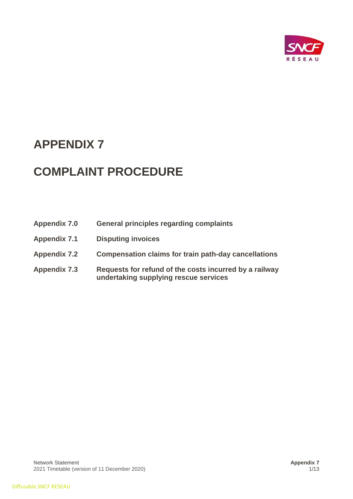

# **APPENDIX 7**

# **COMPLAINT PROCEDURE**

| <b>Appendix 7.0</b> | <b>General principles regarding complaints</b>                                                  |
|---------------------|-------------------------------------------------------------------------------------------------|
| <b>Appendix 7.1</b> | <b>Disputing invoices</b>                                                                       |
| <b>Appendix 7.2</b> | <b>Compensation claims for train path-day cancellations</b>                                     |
| <b>Appendix 7.3</b> | Requests for refund of the costs incurred by a railway<br>undertaking supplying rescue services |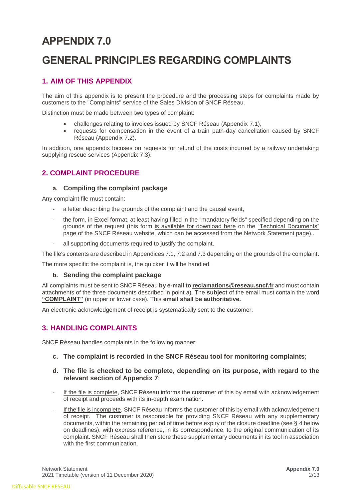# **APPENDIX 7.0**

# **GENERAL PRINCIPLES REGARDING COMPLAINTS**

# **1. AIM OF THIS APPENDIX**

The aim of this appendix is to present the procedure and the processing steps for complaints made by customers to the "Complaints" service of the Sales Division of SNCF Réseau.

Distinction must be made between two types of complaint:

- challenges relating to invoices issued by SNCF Réseau (Appendix 7.1),
- requests for compensation in the event of a train path-day cancellation caused by SNCF Réseau (Appendix 7.2).

In addition, one appendix focuses on requests for refund of the costs incurred by a railway undertaking supplying rescue services (Appendix 7.3).

# **2. COMPLAINT PROCEDURE**

#### **a. Compiling the complaint package**

Any complaint file must contain:

- a letter describing the grounds of the complaint and the causal event,
- the form, in Excel format, at least having filled in the "mandatory fields" specified depending on the grounds of the request (this form [is available for download here](https://www.sncf-reseau.fr/sites/default/files/upload/DRR/documents-techniques-referentiels/Formulaire_reclamations_cf_annexes_7_DRR.xlsx) on the ["Technical Documents"](https://www.sncf-reseau.fr/fr/les-documents-techniques-et-referentiels) page of the SNCF Réseau website, which can be accessed from the Network Statement page)..
- all supporting documents required to justify the complaint.

The file's contents are described in Appendices 7.1, 7.2 and 7.3 depending on the grounds of the complaint.

The more specific the complaint is, the quicker it will be handled.

#### **b. Sending the complaint package**

All complaints must be sent to SNCF Réseau **by e-mail t[o reclamations@reseau.sncf.fr](mailto:reclamations@reseau.sncf.fr)** and must contain attachments of the three documents described in point a). The **subject** of the email must contain the word **"COMPLAINT"** (in upper or lower case). This **email shall be authoritative.**

An electronic acknowledgement of receipt is systematically sent to the customer.

## **3. HANDLING COMPLAINTS**

SNCF Réseau handles complaints in the following manner:

#### **c. The complaint is recorded in the SNCF Réseau tool for monitoring complaints**;

#### **d. The file is checked to be complete, depending on its purpose, with regard to the relevant section of Appendix 7**:

- If the file is complete, SNCF Réseau informs the customer of this by email with acknowledgement of receipt and proceeds with its in-depth examination.
- If the file is incomplete, SNCF Réseau informs the customer of this by email with acknowledgement of receipt. The customer is responsible for providing SNCF Réseau with any supplementary documents, within the remaining period of time before expiry of the closure deadline (see § 4 below on deadlines), with express reference, in its correspondence, to the original communication of its complaint. SNCF Réseau shall then store these supplementary documents in its tool in association with the first communication.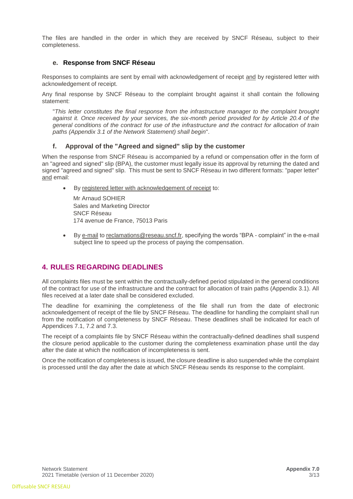The files are handled in the order in which they are received by SNCF Réseau, subject to their completeness.

#### **e. Response from SNCF Réseau**

Responses to complaints are sent by email with acknowledgement of receipt and by registered letter with acknowledgement of receipt.

Any final response by SNCF Réseau to the complaint brought against it shall contain the following statement:

"*This letter constitutes the final response from the infrastructure manager to the complaint brought against it. Once received by your services, the six-month period provided for by Article 20.4 of the general conditions of the contract for use of the infrastructure and the contract for allocation of train paths (Appendix 3.1 of the Network Statement) shall begin*".

#### **f. Approval of the "Agreed and signed" slip by the customer**

When the response from SNCF Réseau is accompanied by a refund or compensation offer in the form of an "agreed and signed" slip (BPA), the customer must legally issue its approval by returning the dated and signed "agreed and signed" slip. This must be sent to SNCF Réseau in two different formats: "paper letter" and email:

By registered letter with acknowledgement of receipt to:

Mr Arnaud SOHIER Sales and Marketing Director SNCF Réseau 174 avenue de France, 75013 Paris

• By e-mail to [reclamations@reseau.sncf.fr,](mailto:reclamations@reseau.sncf.fr) specifying the words "BPA - complaint" in the e-mail subject line to speed up the process of paying the compensation.

## **4. RULES REGARDING DEADLINES**

All complaints files must be sent within the contractually-defined period stipulated in the general conditions of the contract for use of the infrastructure and the contract for allocation of train paths (Appendix 3.1). All files received at a later date shall be considered excluded.

The deadline for examining the completeness of the file shall run from the date of electronic acknowledgement of receipt of the file by SNCF Réseau. The deadline for handling the complaint shall run from the notification of completeness by SNCF Réseau. These deadlines shall be indicated for each of Appendices 7.1, 7.2 and 7.3.

The receipt of a complaints file by SNCF Réseau within the contractually-defined deadlines shall suspend the closure period applicable to the customer during the completeness examination phase until the day after the date at which the notification of incompleteness is sent.

Once the notification of completeness is issued, the closure deadline is also suspended while the complaint is processed until the day after the date at which SNCF Réseau sends its response to the complaint.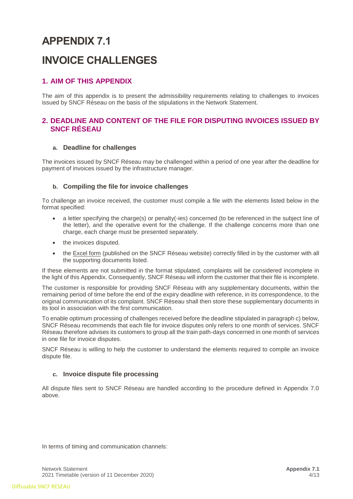# **APPENDIX 7.1 INVOICE CHALLENGES**

# **1. AIM OF THIS APPENDIX**

The aim of this appendix is to present the admissibility requirements relating to challenges to invoices issued by SNCF Réseau on the basis of the stipulations in the Network Statement.

## **2. DEADLINE AND CONTENT OF THE FILE FOR DISPUTING INVOICES ISSUED BY SNCF RÉSEAU**

#### **a. Deadline for challenges**

The invoices issued by SNCF Réseau may be challenged within a period of one year after the deadline for payment of invoices issued by the infrastructure manager.

#### **b. Compiling the file for invoice challenges**

To challenge an invoice received, the customer must compile a file with the elements listed below in the format specified:

- a letter specifying the charge(s) or penalty(-ies) concerned (to be referenced in the subject line of the letter), and the operative event for the challenge. If the challenge concerns more than one charge, each charge must be presented separately.
- the invoices disputed.
- the [Excel form](https://www.sncf-reseau.fr/sites/default/files/upload/DRR/documents-techniques-referentiels/Formulaire_reclamations_cf_annexes_7_DRR.xlsx) (published on the [SNCF Réseau](http://www.sncf-reseau.fr/fr/les-documents-techniques-et-referentiels) website) correctly filled in by the customer with all the supporting documents listed.

If these elements are not submitted in the format stipulated, complaints will be considered incomplete in the light of this Appendix. Consequently, SNCF Réseau will inform the customer that their file is incomplete.

The customer is responsible for providing SNCF Réseau with any supplementary documents, within the remaining period of time before the end of the expiry deadline with reference, in its correspondence, to the original communication of its complaint. SNCF Réseau shall then store these supplementary documents in its tool in association with the first communication.

To enable optimum processing of challenges received before the deadline stipulated in paragraph c) below, SNCF Réseau recommends that each file for invoice disputes only refers to one month of services. SNCF Réseau therefore advises its customers to group all the train path-days concerned in one month of services in one file for invoice disputes.

SNCF Réseau is willing to help the customer to understand the elements required to compile an invoice dispute file.

#### **c. Invoice dispute file processing**

All dispute files sent to SNCF Réseau are handled according to the procedure defined in Appendix 7.0 above.

In terms of timing and communication channels: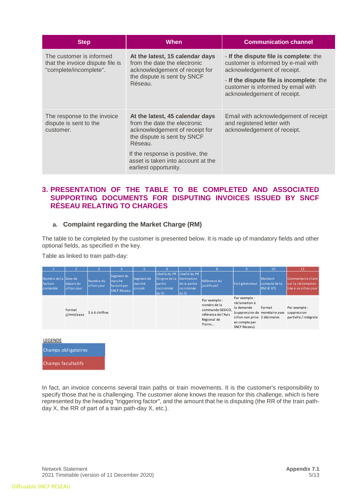| <b>Step</b>                                                                            | <b>When</b>                                                                                                                                                                                                                                    | <b>Communication channel</b>                                                                                                                                                                                                  |
|----------------------------------------------------------------------------------------|------------------------------------------------------------------------------------------------------------------------------------------------------------------------------------------------------------------------------------------------|-------------------------------------------------------------------------------------------------------------------------------------------------------------------------------------------------------------------------------|
| The customer is informed<br>that the invoice dispute file is<br>"complete/incomplete". | At the latest, 15 calendar days<br>from the date the electronic<br>acknowledgement of receipt for<br>the dispute is sent by SNCF<br>Réseau.                                                                                                    | - If the dispute file is complete: the<br>customer is informed by e-mail with<br>acknowledgement of receipt.<br>- If the dispute file is incomplete: the<br>customer is informed by email with<br>acknowledgement of receipt. |
| The response to the invoice<br>dispute is sent to the<br>customer.                     | At the latest, 45 calendar days<br>from the date the electronic<br>acknowledgement of receipt for<br>the dispute is sent by SNCF<br>Réseau.<br>If the response is positive, the<br>asset is taken into account at the<br>earliest opportunity. | Email with acknowledgement of receipt<br>and registered letter with<br>acknowledgement of receipt.                                                                                                                            |

## **3. PRESENTATION OF THE TABLE TO BE COMPLETED AND ASSOCIATED SUPPORTING DOCUMENTS FOR DISPUTING INVOICES ISSUED BY SNCF RÉSEAU RELATING TO CHARGES**

#### **a. Complaint regarding the Market Charge (RM)**

The table to be completed by the customer is presented below. It is made up of mandatory fields and other optional fields, as specified in the key.

Table as linked to train path-day:

|                                                                          |                          |                                                                        |                                 |                                                                                           |                                      |                                                                                                  | 9                                                                                                                                               | 10                                      | 11                                                                 |
|--------------------------------------------------------------------------|--------------------------|------------------------------------------------------------------------|---------------------------------|-------------------------------------------------------------------------------------------|--------------------------------------|--------------------------------------------------------------------------------------------------|-------------------------------------------------------------------------------------------------------------------------------------------------|-----------------------------------------|--------------------------------------------------------------------|
| Numéro de la Date de<br>départ du<br>facture<br>sillon-jour<br>contestée | Numéro du<br>sillon-jour | Segment de<br>marché <sup>1</sup><br>facturé par<br><b>SNCF Réseau</b> | Segment de<br>marché<br>circulé | Libellé du PR Libellé du PR<br>Origine de la Destination<br>partie<br>incriminée<br>du SJ | de la partie<br>lincriminée<br>du SJ | Référence du<br>justificatif                                                                     | Fait générateur                                                                                                                                 | Montant<br>contesté de la<br>RM $(EHT)$ | Commentaire client<br>Isur la réclamation<br>liée à ce sillon-jour |
| Format<br>ii/mm/aaaa                                                     | 5 à 6 chiffres           |                                                                        |                                 |                                                                                           |                                      | Par exemple:<br>numéro de la<br>commande GESICO,<br>référence de l'Avis<br>Régional de<br>Trains | Par exemple :<br>réclamation à<br>la demande<br>(suppression de monétaire avec<br>sillon non prise 2 décimales<br>en compte par<br>SNCF Réseau) | Format                                  | Par exemple :<br>suppression<br>partielle / intégrale              |



In fact, an invoice concerns several train paths or train movements. It is the customer's responsibility to specify those that he is challenging. The customer alone knows the reason for this challenge, which is here represented by the heading "triggering factor", and the amount that he is disputing (the RR of the train pathday X, the RR of part of a train path-day X, etc.).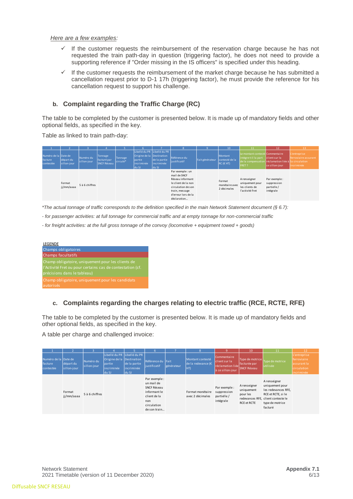#### *Here are a few examples:*

- If the customer requests the reimbursement of the reservation charge because he has not requested the train path-day in question (triggering factor), he does not need to provide a supporting reference if "Order missing in the IS officers" is specified under this heading.
- $\checkmark$  If the customer requests the reimbursement of the market charge because he has submitted a cancellation request prior to D-1 17h (triggering factor), he must provide the reference for his cancellation request to support his challenge.

#### **b. Complaint regarding the Traffic Charge (RC)**

The table to be completed by the customer is presented below. It is made up of mandatory fields and other optional fields, as specified in the key.

Table as linked to train path-day:

|                                              |                          |                          |                                              |                     |                                                                                             |                                      |                                                                                                                                                           | o               | 10                                      | 11                                                                                                                       | 12                                                      | 13                                                 |
|----------------------------------------------|--------------------------|--------------------------|----------------------------------------------|---------------------|---------------------------------------------------------------------------------------------|--------------------------------------|-----------------------------------------------------------------------------------------------------------------------------------------------------------|-----------------|-----------------------------------------|--------------------------------------------------------------------------------------------------------------------------|---------------------------------------------------------|----------------------------------------------------|
| Numéro de la Date de<br>facture<br>contestée | départ du<br>sillon-jour | Numéro du<br>sillon-jour | Tonnage<br>facturé par<br><b>SNCF Réseau</b> | Tonnage<br>circulé* | Libellé du PR Libellé du PR<br>Origine de la Destination<br>lpartie<br>lincriminée<br>du SJ | de la partie<br>lincriminée<br>du SJ | Référence du<br>justificatif                                                                                                                              | Fait générateur | Montant<br>contesté de la<br>RC(EHT)    | Le montant contesté Commentaire<br>intègre-t-il la part<br>de la compensation réclamation liée à la circulation<br>FRET? | client sur la<br>ce sillon-jour                         | L'entreprise<br>ferroviaire assurant<br>incriminée |
|                                              | Format<br>jj/mm/aaaa     | 5 à 6 chiffres           |                                              |                     |                                                                                             |                                      | Par exemple : un<br>mail de SNCF<br>Réseau informant<br>le client de la non<br>circulation de son<br>train, message<br>d'erreur lors de la<br>déclaration |                 | Format<br>monétaire avec<br>2 décimales | A renseigner<br>uniquement pour<br>les clients de<br>l'activité Fret                                                     | Par exemple:<br>suppression<br>partielle /<br>intégrale |                                                    |

*\*The actual tonnage of traffic corresponds to the definition specified in the main Network Statement document (§ 6.7):*

- *- for passenger activities: at full tonnage for commercial traffic and at empty tonnage for non-commercial traffic*
- *- for freight activities: at the full gross tonnage of the convoy (locomotive + equipment towed + goods)*



#### **c. Complaints regarding the charges relating to electric traffic (RCE, RCTE, RFE)**

The table to be completed by the customer is presented below. It is made up of mandatory fields and other optional fields, as specified in the key.

A table per charge and challenged invoice:

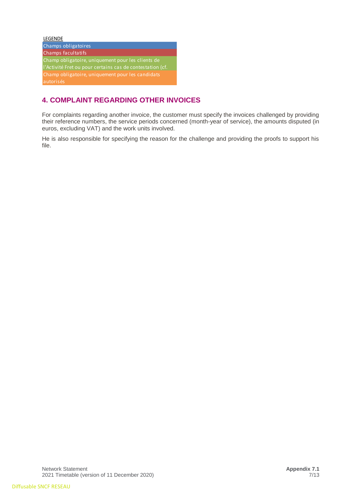| <b>LEGENDE</b>                                            |
|-----------------------------------------------------------|
| Champs obligatoires                                       |
| Champs facultatifs                                        |
| Champ obligatoire, uniquement pour les clients de         |
| l'Activité Fret ou pour certains cas de contestation (cf. |
| Champ obligatoire, uniquement pour les candidats          |
| autorisés                                                 |

# **4. COMPLAINT REGARDING OTHER INVOICES**

For complaints regarding another invoice, the customer must specify the invoices challenged by providing their reference numbers, the service periods concerned (month-year of service), the amounts disputed (in euros, excluding VAT) and the work units involved.

He is also responsible for specifying the reason for the challenge and providing the proofs to support his file.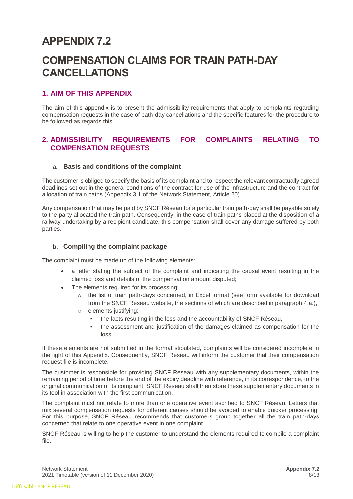# **APPENDIX 7.2**

# **COMPENSATION CLAIMS FOR TRAIN PATH-DAY CANCELLATIONS**

# **1. AIM OF THIS APPENDIX**

The aim of this appendix is to present the admissibility requirements that apply to complaints regarding compensation requests in the case of path-day cancellations and the specific features for the procedure to be followed as regards this.

# **2. ADMISSIBILITY REQUIREMENTS FOR COMPLAINTS RELATING TO COMPENSATION REQUESTS**

#### **a. Basis and conditions of the complaint**

The customer is obliged to specify the basis of its complaint and to respect the relevant contractually agreed deadlines set out in the general conditions of the contract for use of the infrastructure and the contract for allocation of train paths (Appendix 3.1 of the Network Statement, Article 20).

Any compensation that may be paid by SNCF Réseau for a particular train path-day shall be payable solely to the party allocated the train path. Consequently, in the case of train paths placed at the disposition of a railway undertaking by a recipient candidate, this compensation shall cover any damage suffered by both parties.

#### **b. Compiling the complaint package**

The complaint must be made up of the following elements:

- a letter stating the subject of the complaint and indicating the causal event resulting in the claimed loss and details of the compensation amount disputed;
- The elements required for its processing:
	- o the list of train path-days concerned, in Excel format (see [form](https://www.sncf-reseau.fr/sites/default/files/upload/DRR/documents-techniques-referentiels/Formulaire_reclamations_cf_annexes_7_DRR.xlsx) available for download from the SNCF Réseau website, the sections of which are described in paragraph 4.a.),
	- o elements justifying:
		- the facts resulting in the loss and the accountability of SNCF Réseau,
		- the assessment and justification of the damages claimed as compensation for the loss.

If these elements are not submitted in the format stipulated, complaints will be considered incomplete in the light of this Appendix. Consequently, SNCF Réseau will inform the customer that their compensation request file is incomplete.

The customer is responsible for providing SNCF Réseau with any supplementary documents, within the remaining period of time before the end of the expiry deadline with reference, in its correspondence, to the original communication of its complaint. SNCF Réseau shall then store these supplementary documents in its tool in association with the first communication.

The complaint must not relate to more than one operative event ascribed to SNCF Réseau. Letters that mix several compensation requests for different causes should be avoided to enable quicker processing. For this purpose, SNCF Réseau recommends that customers group together all the train path-days concerned that relate to one operative event in one complaint.

SNCF Réseau is willing to help the customer to understand the elements required to compile a complaint file.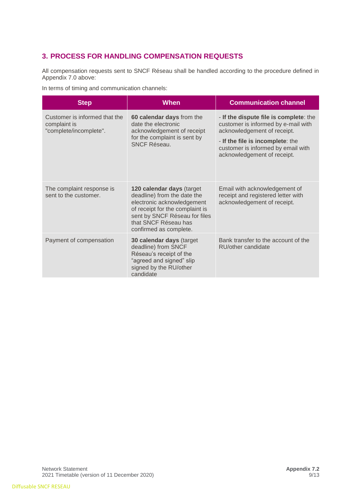# **3. PROCESS FOR HANDLING COMPENSATION REQUESTS**

All compensation requests sent to SNCF Réseau shall be handled according to the procedure defined in Appendix 7.0 above:

In terms of timing and communication channels:

| <b>Step</b>                                                             | When                                                                                                                                                                                                         | <b>Communication channel</b>                                                                                                                                                                                          |
|-------------------------------------------------------------------------|--------------------------------------------------------------------------------------------------------------------------------------------------------------------------------------------------------------|-----------------------------------------------------------------------------------------------------------------------------------------------------------------------------------------------------------------------|
| Customer is informed that the<br>complaint is<br>"complete/incomplete". | 60 calendar days from the<br>date the electronic<br>acknowledgement of receipt<br>for the complaint is sent by<br><b>SNCF Réseau.</b>                                                                        | - If the dispute file is complete: the<br>customer is informed by e-mail with<br>acknowledgement of receipt.<br>- If the file is incomplete: the<br>customer is informed by email with<br>acknowledgement of receipt. |
| The complaint response is<br>sent to the customer.                      | 120 calendar days (target<br>deadline) from the date the<br>electronic acknowledgement<br>of receipt for the complaint is<br>sent by SNCF Réseau for files<br>that SNCF Réseau has<br>confirmed as complete. | Email with acknowledgement of<br>receipt and registered letter with<br>acknowledgement of receipt.                                                                                                                    |
| Payment of compensation                                                 | 30 calendar days (target<br>deadline) from SNCF<br>Réseau's receipt of the<br>"agreed and signed" slip<br>signed by the RU/other<br>candidate                                                                | Bank transfer to the account of the<br>RU/other candidate                                                                                                                                                             |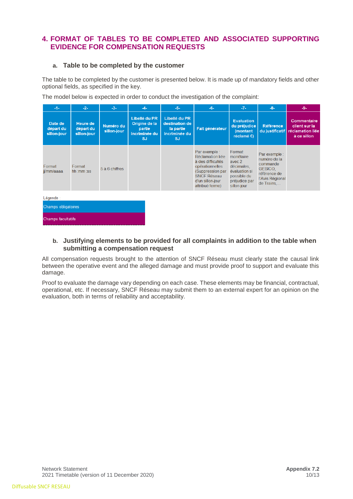# **4. FORMAT OF TABLES TO BE COMPLETED AND ASSOCIATED SUPPORTING EVIDENCE FOR COMPENSATION REQUESTS**

#### **a. Table to be completed by the customer**

The table to be completed by the customer is presented below. It is made up of mandatory fields and other optional fields, as specified in the key.

The model below is expected in order to conduct the investigation of the complaint:

| $-1-$                               | $-2-$                                | $-3-$                    | $-4-$                                                                  | $-5-$                                                                      | $-6-$                                                                                                                                                      | $-7-$                                                                                                       | $-8-$                                                                                                 | -9-                                                             |
|-------------------------------------|--------------------------------------|--------------------------|------------------------------------------------------------------------|----------------------------------------------------------------------------|------------------------------------------------------------------------------------------------------------------------------------------------------------|-------------------------------------------------------------------------------------------------------------|-------------------------------------------------------------------------------------------------------|-----------------------------------------------------------------|
| Date de<br>départ du<br>sillon-jour | Heure de<br>départ du<br>sillon-jour | Numéro du<br>sillon-jour | Libellé du PR<br>Origine de la<br>partie<br>incriminée du<br><b>SJ</b> | Libellé du PR<br>destination de<br>la partie<br>incriminée du<br><b>SJ</b> | Fait générateur                                                                                                                                            | <b>Evaluation</b><br>du préjudice<br>(montant<br>réclamé €)                                                 | <b>Référence</b><br>du justificatif                                                                   | Commentaire<br>client sur la<br>réclamation liée<br>à ce sillon |
| Format<br>ji/mm/aaaa                | Format<br>hh :mm :ss                 | 5 à 6 chiffres           |                                                                        |                                                                            | Par exemple :<br>Réclamation liée<br>à des difficultés<br>opérationnelles<br>(Suppression par<br><b>SNCF Réseau</b><br>d'un sillon-jour<br>attribué ferme) | Format<br>monétaire<br>avec 2<br>décimales.<br>évaluation si<br>possible du<br>préjudice par<br>sillon-jour | Par exemple :<br>numéro de la<br>commande<br>GESICO.<br>référence de<br>l'Avis Régional<br>de Trains, |                                                                 |
| Légende :<br>Champs obligatoires    |                                      |                          |                                                                        |                                                                            |                                                                                                                                                            |                                                                                                             |                                                                                                       |                                                                 |

#### **b. Justifying elements to be provided for all complaints in addition to the table when submitting a compensation request**

All compensation requests brought to the attention of SNCF Réseau must clearly state the causal link between the operative event and the alleged damage and must provide proof to support and evaluate this damage.

Proof to evaluate the damage vary depending on each case. These elements may be financial, contractual, operational, etc. If necessary, SNCF Réseau may submit them to an external expert for an opinion on the evaluation, both in terms of reliability and acceptability.

**Champs facultatifs**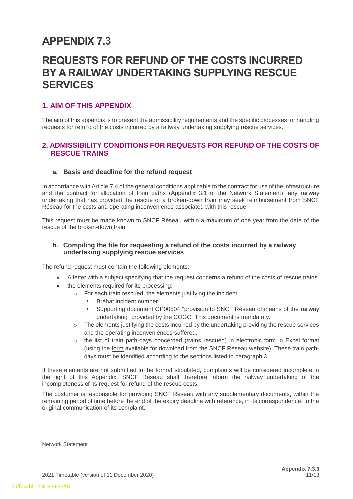# **APPENDIX 7.3**

# **REQUESTS FOR REFUND OF THE COSTS INCURRED BY A RAILWAY UNDERTAKING SUPPLYING RESCUE SERVICES**

## **1. AIM OF THIS APPENDIX**

The aim of this appendix is to present the admissibility requirements and the specific processes for handling requests for refund of the costs incurred by a railway undertaking supplying rescue services.

## **2. ADMISSIBILITY CONDITIONS FOR REQUESTS FOR REFUND OF THE COSTS OF RESCUE TRAINS**

#### **a. Basis and deadline for the refund request**

In accordance with Article 7.4 of the general conditions applicable to the contract for use of the infrastructure and the contract for allocation of train paths (Appendix 3.1 of the Network Statement), any railway undertaking that has provided the rescue of a broken-down train may seek reimbursement from SNCF Réseau for the costs and operating inconvenience associated with this rescue.

This request must be made known to SNCF Réseau within a maximum of one year from the date of the rescue of the broken-down train.

#### **b. Compiling the file for requesting a refund of the costs incurred by a railway undertaking supplying rescue services**

The refund request must contain the following elements:

- A letter with a subject specifying that the request concerns a refund of the costs of rescue trains.
- the elements required for its processing:
	- o For each train rescued, the elements justifying the incident:
		- Bréhat incident number
		- Supporting document OP00504 "provision to SNCF Réseau of means of the railway undertaking" provided by the COGC. This document is mandatory.
	- o The elements justifying the costs incurred by the undertaking providing the rescue services and the operating inconveniences suffered,
	- o the list of train path-days concerned (trains rescued) in electronic form in Excel format (using the [form](https://www.sncf-reseau.fr/sites/default/files/upload/DRR/documents-techniques-referentiels/Formulaire_reclamations_cf_annexes_7_DRR.xlsx) available for download from the SNCF Réseau website). These train pathdays must be identified according to the sections listed in paragraph 3.

If these elements are not submitted in the format stipulated, complaints will be considered incomplete in the light of this Appendix. SNCF Réseau shall therefore inform the railway undertaking of the incompleteness of its request for refund of the rescue costs.

The customer is responsible for providing SNCF Réseau with any supplementary documents, within the remaining period of time before the end of the expiry deadline with reference, in its correspondence, to the original communication of its complaint.

Network Statement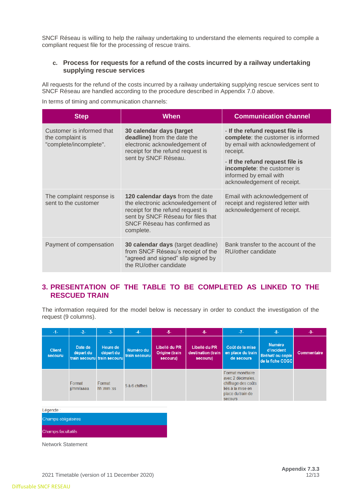SNCF Réseau is willing to help the railway undertaking to understand the elements required to compile a compliant request file for the processing of rescue trains.

#### **c. Process for requests for a refund of the costs incurred by a railway undertaking supplying rescue services**

All requests for the refund of the costs incurred by a railway undertaking supplying rescue services sent to SNCF Réseau are handled according to the procedure described in Appendix 7.0 above.

In terms of timing and communication channels:

| <b>Step</b>                                                             | When                                                                                                                                                                                         | <b>Communication channel</b>                                                                                                                                                                                                                     |
|-------------------------------------------------------------------------|----------------------------------------------------------------------------------------------------------------------------------------------------------------------------------------------|--------------------------------------------------------------------------------------------------------------------------------------------------------------------------------------------------------------------------------------------------|
| Customer is informed that<br>the complaint is<br>"complete/incomplete". | 30 calendar days (target<br>deadline) from the date the<br>electronic acknowledgement of<br>receipt for the refund request is<br>sent by SNCF Réseau.                                        | - If the refund request file is<br>complete: the customer is informed<br>by email with acknowledgement of<br>receipt.<br>- If the refund request file is<br>incomplete: the customer is<br>informed by email with<br>acknowledgement of receipt. |
| The complaint response is<br>sent to the customer                       | 120 calendar days from the date<br>the electronic acknowledgement of<br>receipt for the refund request is<br>sent by SNCF Réseau for files that<br>SNCF Réseau has confirmed as<br>complete. | Email with acknowledgement of<br>receipt and registered letter with<br>acknowledgement of receipt.                                                                                                                                               |
| Payment of compensation                                                 | <b>30 calendar days</b> (target deadline)<br>from SNCF Réseau's receipt of the<br>"agreed and signed" slip signed by<br>the RU/other candidate                                               | Bank transfer to the account of the<br>RU/other candidate                                                                                                                                                                                        |

## **3. PRESENTATION OF THE TABLE TO BE COMPLETED AS LINKED TO THE RESCUED TRAIN**

The information required for the model below is necessary in order to conduct the investigation of the request (9 columns).

| $-1-$                    | $-2-$                | $-3-$                                                | $-4-$                      | $-5-$                                       | $-6-$                                           | $-7-$                                                                                                                    | $-8-$                                                               | -9-         |
|--------------------------|----------------------|------------------------------------------------------|----------------------------|---------------------------------------------|-------------------------------------------------|--------------------------------------------------------------------------------------------------------------------------|---------------------------------------------------------------------|-------------|
| <b>Client</b><br>secouru | Date de<br>départ du | Heure de<br>départ du<br>train secouru train secouru | Numéro du<br>train secouru | Libellé du PR<br>Origine (train<br>secouru) | Libellé du PR<br>destination (train<br>secouru) | Coût de la mise<br>en place du train<br>de secours                                                                       | <b>Numéro</b><br>d'incident<br>Bréhat/ ou copie<br>de la fiche COGC | Commentaire |
|                          | Format<br>ji/mm/aaaa | Format<br>hh :mm :ss                                 | 5 à 6 chiffres             |                                             |                                                 | Format monétaire<br>avec 2 décimales.<br>chiffrage des coûts<br>liés à la mise en<br>place du train de<br><b>Secours</b> |                                                                     |             |

Légende :

Champs obligatoires

Champs facultatifs

Network Statement